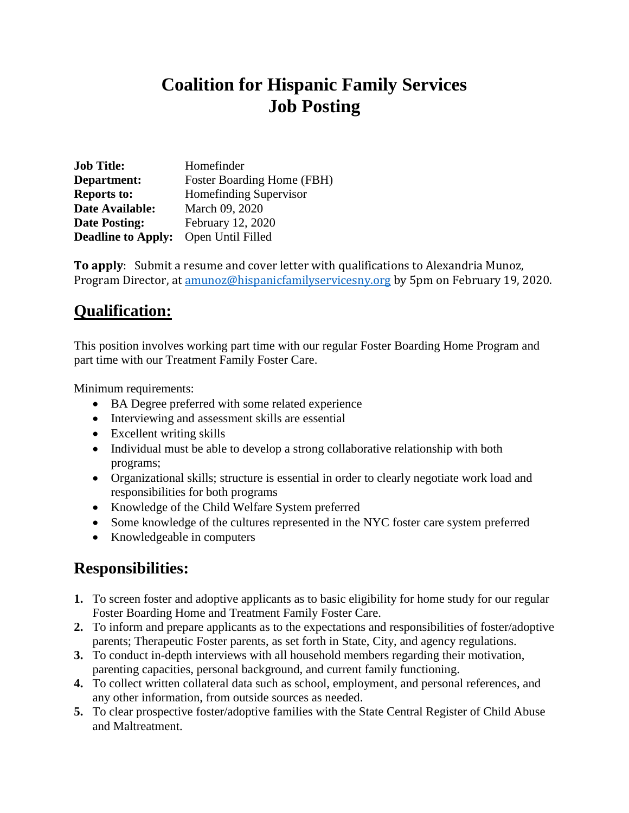## **Coalition for Hispanic Family Services Job Posting**

| <b>Job Title:</b>         | Homefinder                    |
|---------------------------|-------------------------------|
| Department:               | Foster Boarding Home (FBH)    |
| <b>Reports to:</b>        | <b>Homefinding Supervisor</b> |
| Date Available:           | March 09, 2020                |
| <b>Date Posting:</b>      | February 12, 2020             |
| <b>Deadline to Apply:</b> | Open Until Filled             |

**To apply**: Submit a resume and cover letter with qualifications to Alexandria Munoz, Program Director, at [amunoz@hispanicfamilyservicesny.org](mailto:amunoz@hispanicfamilyservicesny.org) by 5pm on February 19, 2020.

## **Qualification:**

This position involves working part time with our regular Foster Boarding Home Program and part time with our Treatment Family Foster Care.

Minimum requirements:

- BA Degree preferred with some related experience
- Interviewing and assessment skills are essential
- Excellent writing skills
- Individual must be able to develop a strong collaborative relationship with both programs;
- Organizational skills; structure is essential in order to clearly negotiate work load and responsibilities for both programs
- Knowledge of the Child Welfare System preferred
- Some knowledge of the cultures represented in the NYC foster care system preferred
- Knowledgeable in computers

## **Responsibilities:**

- **1.** To screen foster and adoptive applicants as to basic eligibility for home study for our regular Foster Boarding Home and Treatment Family Foster Care.
- **2.** To inform and prepare applicants as to the expectations and responsibilities of foster/adoptive parents; Therapeutic Foster parents, as set forth in State, City, and agency regulations.
- **3.** To conduct in-depth interviews with all household members regarding their motivation, parenting capacities, personal background, and current family functioning.
- **4.** To collect written collateral data such as school, employment, and personal references, and any other information, from outside sources as needed.
- **5.** To clear prospective foster/adoptive families with the State Central Register of Child Abuse and Maltreatment.